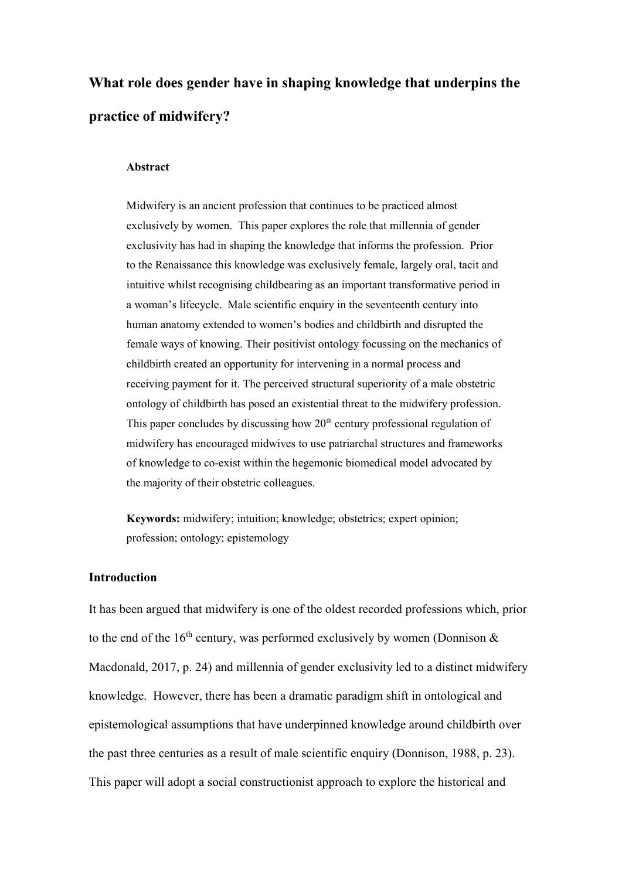# **What role does gender have in shaping knowledge that underpins the practice of midwifery?**

#### **Abstract**

Midwifery is an ancient profession that continues to be practiced almost exclusively by women. This paper explores the role that millennia of gender exclusivity has had in shaping the knowledge that informs the profession. Prior to the Renaissance this knowledge was exclusively female, largely oral, tacit and intuitive whilst recognising childbearing as an important transformative period in a woman's lifecycle. Male scientific enquiry in the seventeenth century into human anatomy extended to women's bodies and childbirth and disrupted the female ways of knowing. Their positivist ontology focussing on the mechanics of childbirth created an opportunity for intervening in a normal process and receiving payment for it. The perceived structural superiority of a male obstetric ontology of childbirth has posed an existential threat to the midwifery profession. This paper concludes by discussing how  $20<sup>th</sup>$  century professional regulation of midwifery has encouraged midwives to use patriarchal structures and frameworks of knowledge to co-exist within the hegemonic biomedical model advocated by the majority of their obstetric colleagues.

**Keywords:** midwifery; intuition; knowledge; obstetrics; expert opinion; profession; ontology; epistemology

# **Introduction**

It has been argued that midwifery is one of the oldest recorded professions which, prior to the end of the 16<sup>th</sup> century, was performed exclusively by women (Donnison  $\&$ Macdonald, 2017, p. 24) and millennia of gender exclusivity led to a distinct midwifery knowledge. However, there has been a dramatic paradigm shift in ontological and epistemological assumptions that have underpinned knowledge around childbirth over the past three centuries as a result of male scientific enquiry (Donnison, 1988, p. 23). This paper will adopt a social constructionist approach to explore the historical and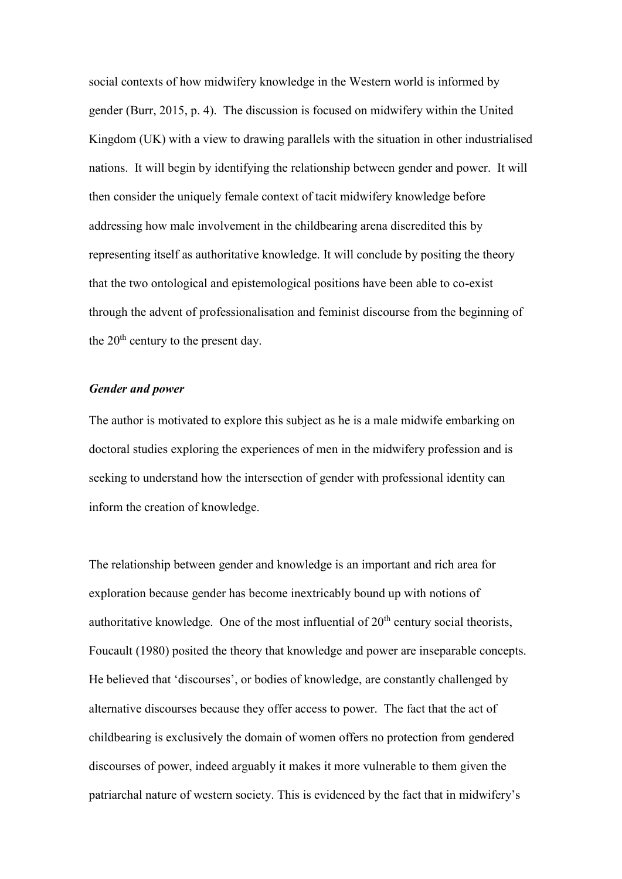social contexts of how midwifery knowledge in the Western world is informed by gender (Burr, 2015, p. 4). The discussion is focused on midwifery within the United Kingdom (UK) with a view to drawing parallels with the situation in other industrialised nations. It will begin by identifying the relationship between gender and power. It will then consider the uniquely female context of tacit midwifery knowledge before addressing how male involvement in the childbearing arena discredited this by representing itself as authoritative knowledge. It will conclude by positing the theory that the two ontological and epistemological positions have been able to co-exist through the advent of professionalisation and feminist discourse from the beginning of the  $20<sup>th</sup>$  century to the present day.

## *Gender and power*

The author is motivated to explore this subject as he is a male midwife embarking on doctoral studies exploring the experiences of men in the midwifery profession and is seeking to understand how the intersection of gender with professional identity can inform the creation of knowledge.

The relationship between gender and knowledge is an important and rich area for exploration because gender has become inextricably bound up with notions of authoritative knowledge. One of the most influential of  $20<sup>th</sup>$  century social theorists, Foucault (1980) posited the theory that knowledge and power are inseparable concepts. He believed that 'discourses', or bodies of knowledge, are constantly challenged by alternative discourses because they offer access to power. The fact that the act of childbearing is exclusively the domain of women offers no protection from gendered discourses of power, indeed arguably it makes it more vulnerable to them given the patriarchal nature of western society. This is evidenced by the fact that in midwifery's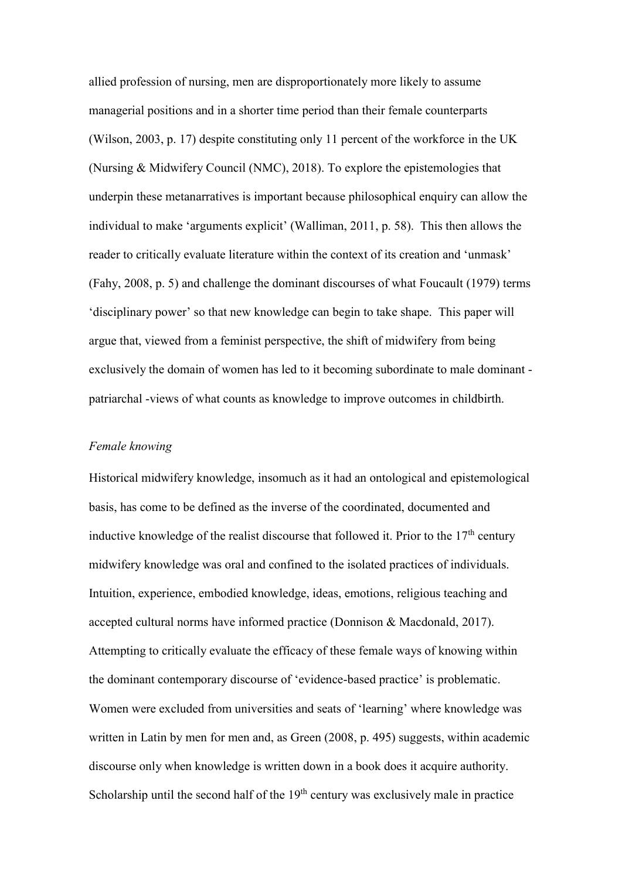allied profession of nursing, men are disproportionately more likely to assume managerial positions and in a shorter time period than their female counterparts (Wilson, 2003, p. 17) despite constituting only 11 percent of the workforce in the UK (Nursing & Midwifery Council (NMC), 2018). To explore the epistemologies that underpin these metanarratives is important because philosophical enquiry can allow the individual to make 'arguments explicit' (Walliman, 2011, p. 58). This then allows the reader to critically evaluate literature within the context of its creation and 'unmask' (Fahy, 2008, p. 5) and challenge the dominant discourses of what Foucault (1979) terms 'disciplinary power' so that new knowledge can begin to take shape. This paper will argue that, viewed from a feminist perspective, the shift of midwifery from being exclusively the domain of women has led to it becoming subordinate to male dominant patriarchal -views of what counts as knowledge to improve outcomes in childbirth.

### *Female knowing*

Historical midwifery knowledge, insomuch as it had an ontological and epistemological basis, has come to be defined as the inverse of the coordinated, documented and inductive knowledge of the realist discourse that followed it. Prior to the  $17<sup>th</sup>$  century midwifery knowledge was oral and confined to the isolated practices of individuals. Intuition, experience, embodied knowledge, ideas, emotions, religious teaching and accepted cultural norms have informed practice (Donnison & Macdonald, 2017). Attempting to critically evaluate the efficacy of these female ways of knowing within the dominant contemporary discourse of 'evidence-based practice' is problematic. Women were excluded from universities and seats of 'learning' where knowledge was written in Latin by men for men and, as Green (2008, p. 495) suggests, within academic discourse only when knowledge is written down in a book does it acquire authority. Scholarship until the second half of the  $19<sup>th</sup>$  century was exclusively male in practice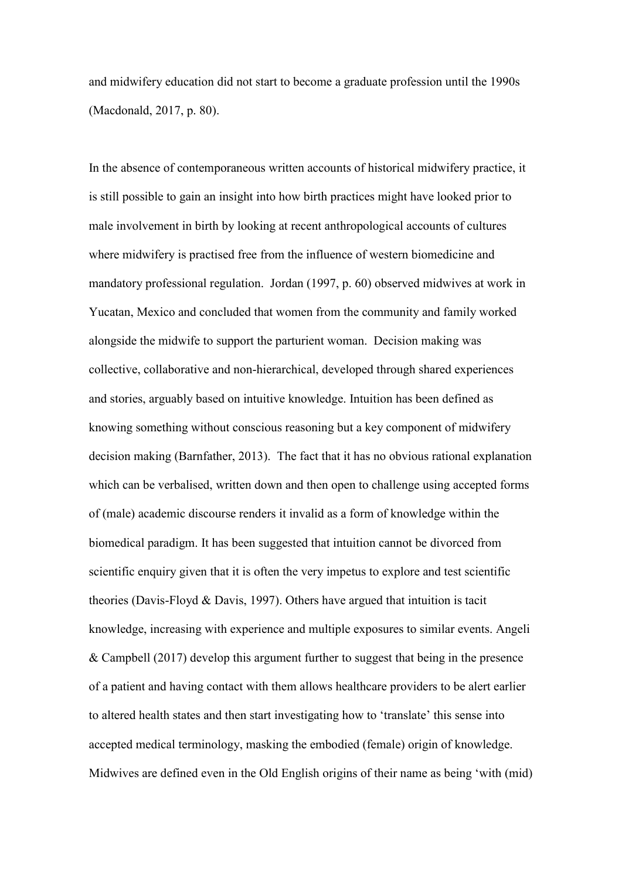and midwifery education did not start to become a graduate profession until the 1990s (Macdonald, 2017, p. 80).

In the absence of contemporaneous written accounts of historical midwifery practice, it is still possible to gain an insight into how birth practices might have looked prior to male involvement in birth by looking at recent anthropological accounts of cultures where midwifery is practised free from the influence of western biomedicine and mandatory professional regulation. Jordan (1997, p. 60) observed midwives at work in Yucatan, Mexico and concluded that women from the community and family worked alongside the midwife to support the parturient woman. Decision making was collective, collaborative and non-hierarchical, developed through shared experiences and stories, arguably based on intuitive knowledge. Intuition has been defined as knowing something without conscious reasoning but a key component of midwifery decision making (Barnfather, 2013). The fact that it has no obvious rational explanation which can be verbalised, written down and then open to challenge using accepted forms of (male) academic discourse renders it invalid as a form of knowledge within the biomedical paradigm. It has been suggested that intuition cannot be divorced from scientific enquiry given that it is often the very impetus to explore and test scientific theories (Davis-Floyd & Davis, 1997). Others have argued that intuition is tacit knowledge, increasing with experience and multiple exposures to similar events. Angeli & Campbell (2017) develop this argument further to suggest that being in the presence of a patient and having contact with them allows healthcare providers to be alert earlier to altered health states and then start investigating how to 'translate' this sense into accepted medical terminology, masking the embodied (female) origin of knowledge. Midwives are defined even in the Old English origins of their name as being 'with (mid)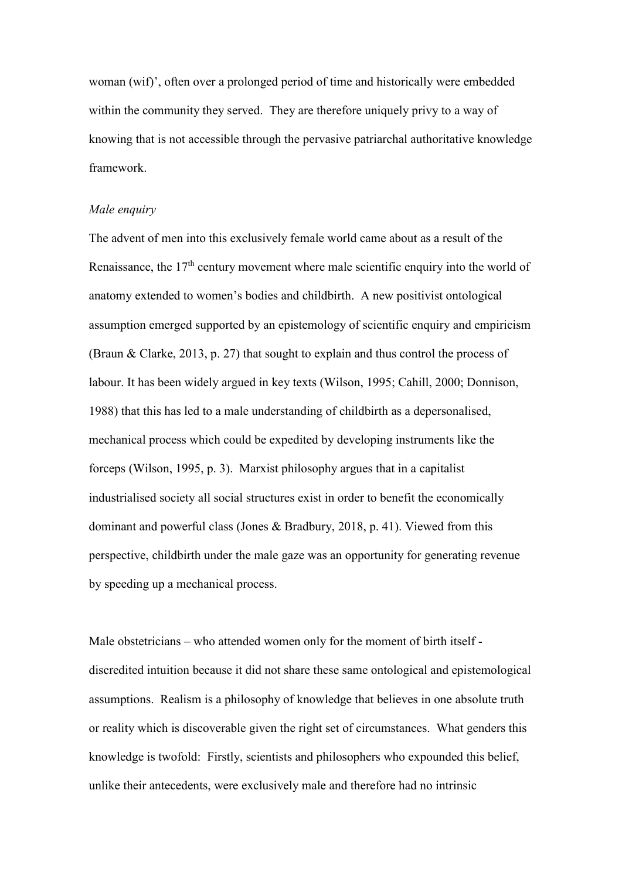woman (wif)', often over a prolonged period of time and historically were embedded within the community they served. They are therefore uniquely privy to a way of knowing that is not accessible through the pervasive patriarchal authoritative knowledge framework.

#### *Male enquiry*

The advent of men into this exclusively female world came about as a result of the Renaissance, the  $17<sup>th</sup>$  century movement where male scientific enquiry into the world of anatomy extended to women's bodies and childbirth. A new positivist ontological assumption emerged supported by an epistemology of scientific enquiry and empiricism (Braun & Clarke, 2013, p. 27) that sought to explain and thus control the process of labour. It has been widely argued in key texts (Wilson, 1995; Cahill, 2000; Donnison, 1988) that this has led to a male understanding of childbirth as a depersonalised, mechanical process which could be expedited by developing instruments like the forceps (Wilson, 1995, p. 3). Marxist philosophy argues that in a capitalist industrialised society all social structures exist in order to benefit the economically dominant and powerful class (Jones & Bradbury, 2018, p. 41). Viewed from this perspective, childbirth under the male gaze was an opportunity for generating revenue by speeding up a mechanical process.

Male obstetricians – who attended women only for the moment of birth itself discredited intuition because it did not share these same ontological and epistemological assumptions. Realism is a philosophy of knowledge that believes in one absolute truth or reality which is discoverable given the right set of circumstances. What genders this knowledge is twofold: Firstly, scientists and philosophers who expounded this belief, unlike their antecedents, were exclusively male and therefore had no intrinsic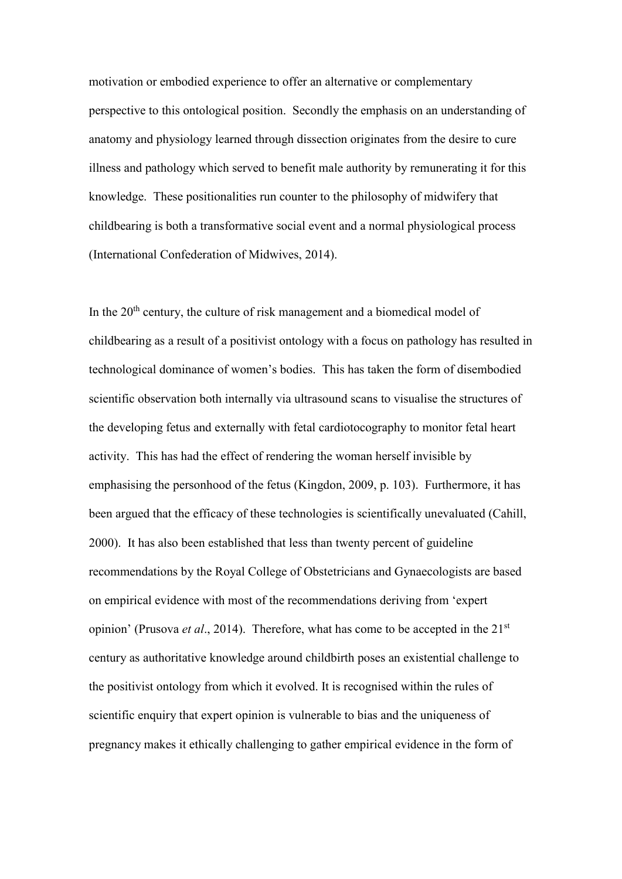motivation or embodied experience to offer an alternative or complementary perspective to this ontological position. Secondly the emphasis on an understanding of anatomy and physiology learned through dissection originates from the desire to cure illness and pathology which served to benefit male authority by remunerating it for this knowledge. These positionalities run counter to the philosophy of midwifery that childbearing is both a transformative social event and a normal physiological process (International Confederation of Midwives, 2014).

In the  $20<sup>th</sup>$  century, the culture of risk management and a biomedical model of childbearing as a result of a positivist ontology with a focus on pathology has resulted in technological dominance of women's bodies. This has taken the form of disembodied scientific observation both internally via ultrasound scans to visualise the structures of the developing fetus and externally with fetal cardiotocography to monitor fetal heart activity. This has had the effect of rendering the woman herself invisible by emphasising the personhood of the fetus (Kingdon, 2009, p. 103). Furthermore, it has been argued that the efficacy of these technologies is scientifically unevaluated (Cahill, 2000). It has also been established that less than twenty percent of guideline recommendations by the Royal College of Obstetricians and Gynaecologists are based on empirical evidence with most of the recommendations deriving from 'expert opinion' (Prusova *et al.*, 2014). Therefore, what has come to be accepted in the 21<sup>st</sup> century as authoritative knowledge around childbirth poses an existential challenge to the positivist ontology from which it evolved. It is recognised within the rules of scientific enquiry that expert opinion is vulnerable to bias and the uniqueness of pregnancy makes it ethically challenging to gather empirical evidence in the form of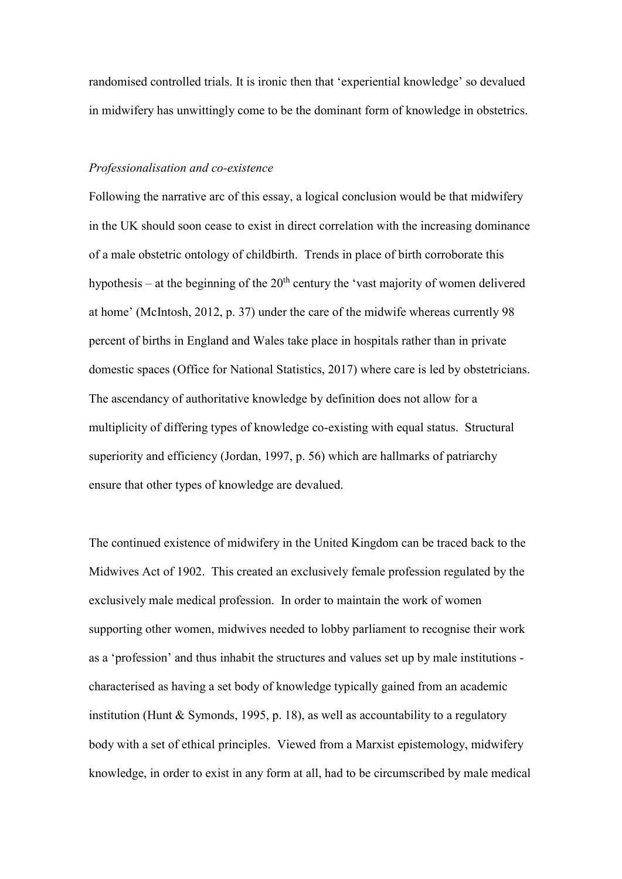randomised controlled trials. It is ironic then that 'experiential knowledge' so devalued in midwifery has unwittingly come to be the dominant form of knowledge in obstetrics.

# *Professionalisation and co-existence*

Following the narrative arc of this essay, a logical conclusion would be that midwifery in the UK should soon cease to exist in direct correlation with the increasing dominance of a male obstetric ontology of childbirth. Trends in place of birth corroborate this hypothesis – at the beginning of the  $20<sup>th</sup>$  century the 'vast majority of women delivered at home' (McIntosh, 2012, p. 37) under the care of the midwife whereas currently 98 percent of births in England and Wales take place in hospitals rather than in private domestic spaces (Office for National Statistics, 2017) where care is led by obstetricians. The ascendancy of authoritative knowledge by definition does not allow for a multiplicity of differing types of knowledge co-existing with equal status. Structural superiority and efficiency (Jordan, 1997, p. 56) which are hallmarks of patriarchy ensure that other types of knowledge are devalued.

The continued existence of midwifery in the United Kingdom can be traced back to the Midwives Act of 1902. This created an exclusively female profession regulated by the exclusively male medical profession. In order to maintain the work of women supporting other women, midwives needed to lobby parliament to recognise their work as a 'profession' and thus inhabit the structures and values set up by male institutions characterised as having a set body of knowledge typically gained from an academic institution (Hunt & Symonds, 1995, p. 18), as well as accountability to a regulatory body with a set of ethical principles. Viewed from a Marxist epistemology, midwifery knowledge, in order to exist in any form at all, had to be circumscribed by male medical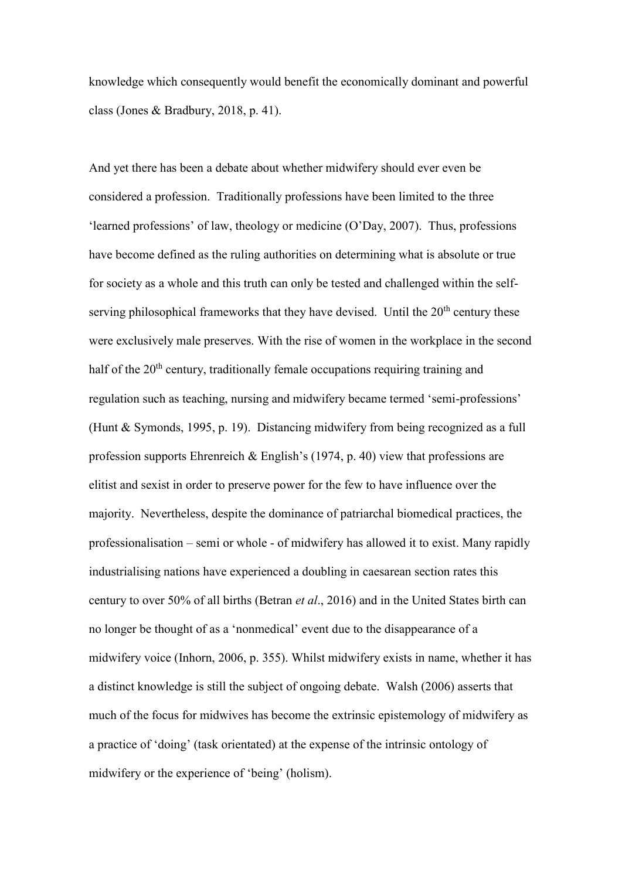knowledge which consequently would benefit the economically dominant and powerful class (Jones & Bradbury, 2018, p. 41).

And yet there has been a debate about whether midwifery should ever even be considered a profession. Traditionally professions have been limited to the three 'learned professions' of law, theology or medicine (O'Day, 2007). Thus, professions have become defined as the ruling authorities on determining what is absolute or true for society as a whole and this truth can only be tested and challenged within the selfserving philosophical frameworks that they have devised. Until the  $20<sup>th</sup>$  century these were exclusively male preserves. With the rise of women in the workplace in the second half of the 20<sup>th</sup> century, traditionally female occupations requiring training and regulation such as teaching, nursing and midwifery became termed 'semi-professions' (Hunt & Symonds, 1995, p. 19). Distancing midwifery from being recognized as a full profession supports Ehrenreich & English's (1974, p. 40) view that professions are elitist and sexist in order to preserve power for the few to have influence over the majority. Nevertheless, despite the dominance of patriarchal biomedical practices, the professionalisation – semi or whole - of midwifery has allowed it to exist. Many rapidly industrialising nations have experienced a doubling in caesarean section rates this century to over 50% of all births (Betran *et al*., 2016) and in the United States birth can no longer be thought of as a 'nonmedical' event due to the disappearance of a midwifery voice (Inhorn, 2006, p. 355). Whilst midwifery exists in name, whether it has a distinct knowledge is still the subject of ongoing debate. Walsh (2006) asserts that much of the focus for midwives has become the extrinsic epistemology of midwifery as a practice of 'doing' (task orientated) at the expense of the intrinsic ontology of midwifery or the experience of 'being' (holism).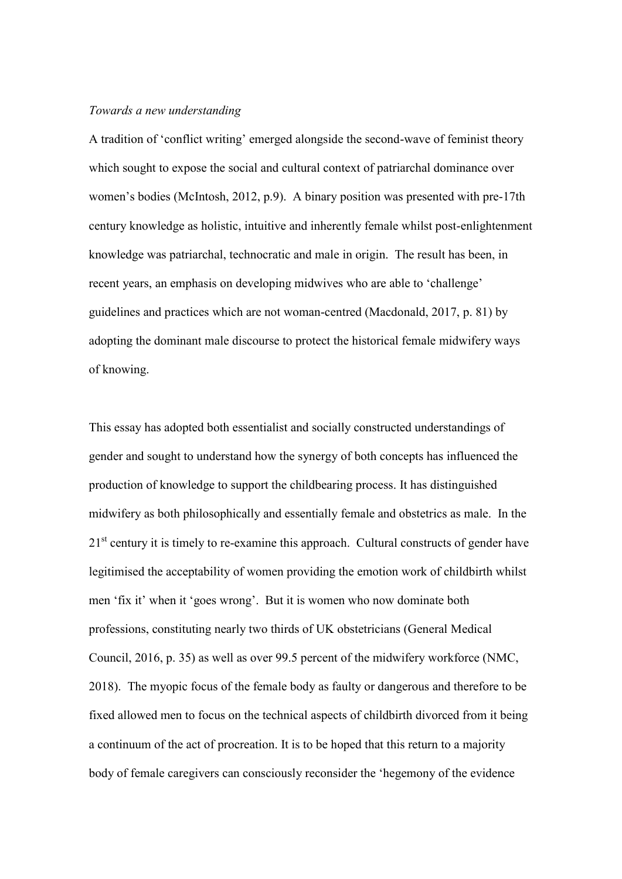#### *Towards a new understanding*

A tradition of 'conflict writing' emerged alongside the second-wave of feminist theory which sought to expose the social and cultural context of patriarchal dominance over women's bodies (McIntosh, 2012, p.9). A binary position was presented with pre-17th century knowledge as holistic, intuitive and inherently female whilst post-enlightenment knowledge was patriarchal, technocratic and male in origin. The result has been, in recent years, an emphasis on developing midwives who are able to 'challenge' guidelines and practices which are not woman-centred (Macdonald, 2017, p. 81) by adopting the dominant male discourse to protect the historical female midwifery ways of knowing.

This essay has adopted both essentialist and socially constructed understandings of gender and sought to understand how the synergy of both concepts has influenced the production of knowledge to support the childbearing process. It has distinguished midwifery as both philosophically and essentially female and obstetrics as male. In the  $21<sup>st</sup>$  century it is timely to re-examine this approach. Cultural constructs of gender have legitimised the acceptability of women providing the emotion work of childbirth whilst men 'fix it' when it 'goes wrong'. But it is women who now dominate both professions, constituting nearly two thirds of UK obstetricians (General Medical Council, 2016, p. 35) as well as over 99.5 percent of the midwifery workforce (NMC, 2018). The myopic focus of the female body as faulty or dangerous and therefore to be fixed allowed men to focus on the technical aspects of childbirth divorced from it being a continuum of the act of procreation. It is to be hoped that this return to a majority body of female caregivers can consciously reconsider the 'hegemony of the evidence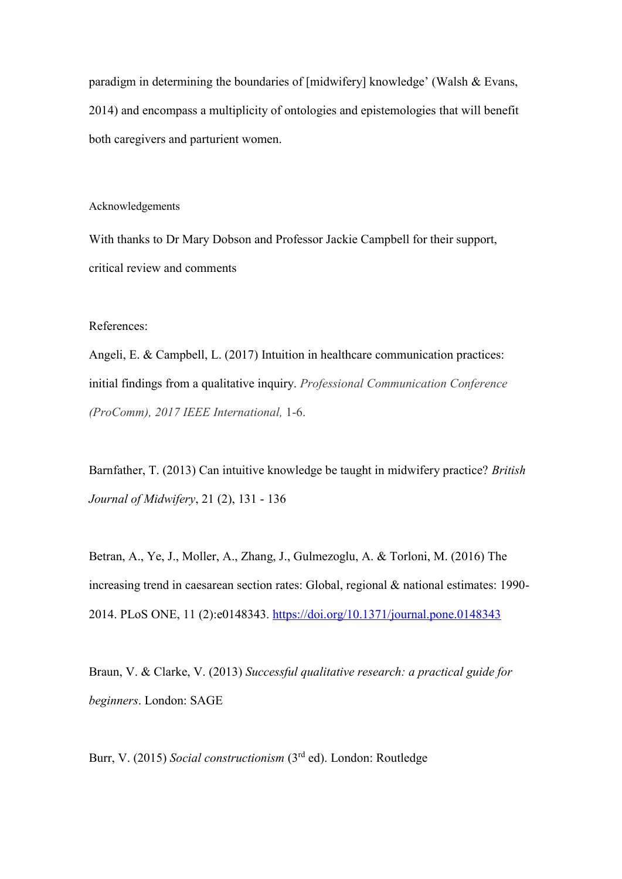paradigm in determining the boundaries of [midwifery] knowledge' (Walsh & Evans, 2014) and encompass a multiplicity of ontologies and epistemologies that will benefit both caregivers and parturient women.

Acknowledgements

With thanks to Dr Mary Dobson and Professor Jackie Campbell for their support, critical review and comments

References:

Angeli, E. & Campbell, L. (2017) Intuition in healthcare communication practices: initial findings from a qualitative inquiry. *Professional Communication Conference (ProComm), 2017 IEEE International,* 1-6.

Barnfather, T. (2013) Can intuitive knowledge be taught in midwifery practice? *British Journal of Midwifery*, 21 (2), 131 - 136

Betran, A., Ye, J., Moller, A., Zhang, J., Gulmezoglu, A. & Torloni, M. (2016) The increasing trend in caesarean section rates: Global, regional & national estimates: 1990- 2014. PLoS ONE, 11 (2):e0148343.<https://doi.org/10.1371/journal.pone.0148343>

Braun, V. & Clarke, V. (2013) *Successful qualitative research: a practical guide for beginners*. London: SAGE

Burr, V. (2015) Social constructionism (3<sup>rd</sup> ed). London: Routledge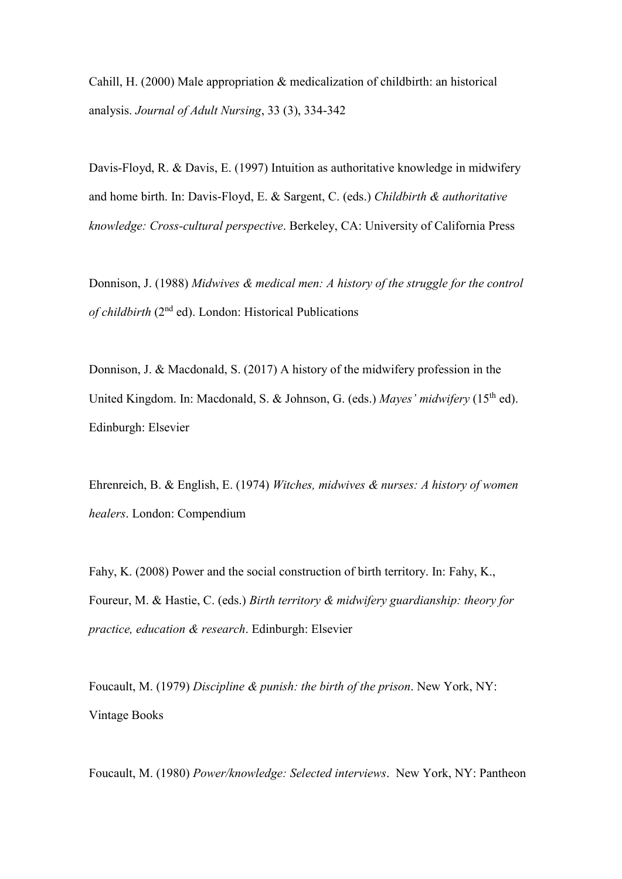Cahill, H. (2000) Male appropriation & medicalization of childbirth: an historical analysis. *Journal of Adult Nursing*, 33 (3), 334-342

Davis-Floyd, R. & Davis, E. (1997) Intuition as authoritative knowledge in midwifery and home birth. In: Davis-Floyd, E. & Sargent, C. (eds.) *Childbirth & authoritative knowledge: Cross-cultural perspective*. Berkeley, CA: University of California Press

Donnison, J. (1988) *Midwives & medical men: A history of the struggle for the control*  of childbirth (2<sup>nd</sup> ed). London: Historical Publications

Donnison, J. & Macdonald, S. (2017) A history of the midwifery profession in the United Kingdom. In: Macdonald, S. & Johnson, G. (eds.) *Mayes' midwifery* (15th ed). Edinburgh: Elsevier

Ehrenreich, B. & English, E. (1974) *Witches, midwives & nurses: A history of women healers*. London: Compendium

Fahy, K. (2008) Power and the social construction of birth territory. In: Fahy, K., Foureur, M. & Hastie, C. (eds.) *Birth territory & midwifery guardianship: theory for practice, education & research*. Edinburgh: Elsevier

Foucault, M. (1979) *Discipline & punish: the birth of the prison*. New York, NY: Vintage Books

Foucault, M. (1980) *Power/knowledge: Selected interviews*. New York, NY: Pantheon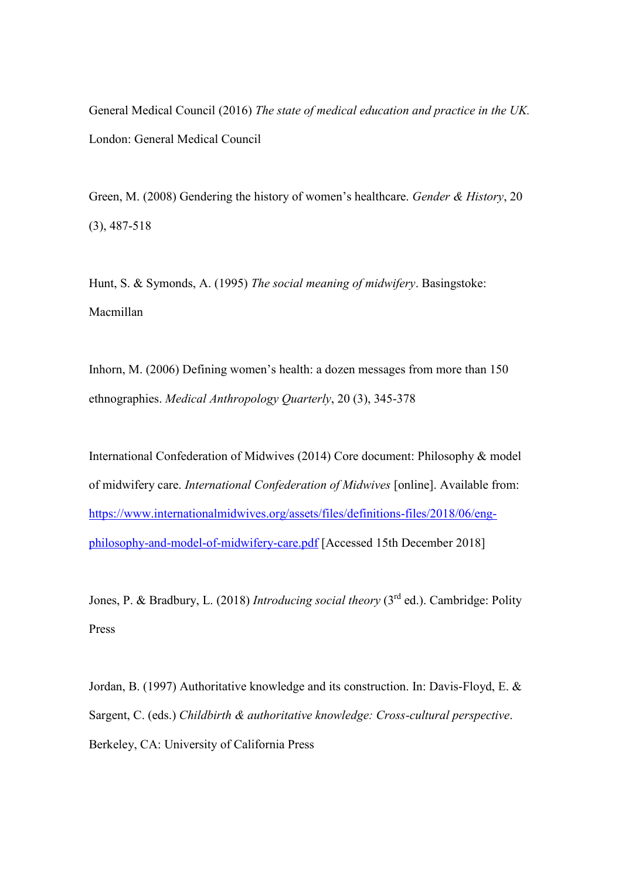General Medical Council (2016) *The state of medical education and practice in the UK.* London: General Medical Council

Green, M. (2008) Gendering the history of women's healthcare. *Gender & History*, 20 (3), 487-518

Hunt, S. & Symonds, A. (1995) *The social meaning of midwifery*. Basingstoke: Macmillan

Inhorn, M. (2006) Defining women's health: a dozen messages from more than 150 ethnographies. *Medical Anthropology Quarterly*, 20 (3), 345-378

International Confederation of Midwives (2014) Core document: Philosophy & model of midwifery care. *International Confederation of Midwives* [online]. Available from: [https://www.internationalmidwives.org/assets/files/definitions-files/2018/06/eng](https://www.internationalmidwives.org/assets/files/definitions-files/2018/06/eng-philosophy-and-model-of-midwifery-care.pdf)[philosophy-and-model-of-midwifery-care.pdf](https://www.internationalmidwives.org/assets/files/definitions-files/2018/06/eng-philosophy-and-model-of-midwifery-care.pdf) [Accessed 15th December 2018]

Jones, P. & Bradbury, L. (2018) *Introducing social theory* (3<sup>rd</sup> ed.). Cambridge: Polity Press

Jordan, B. (1997) Authoritative knowledge and its construction. In: Davis-Floyd, E. & Sargent, C. (eds.) *Childbirth & authoritative knowledge: Cross-cultural perspective*. Berkeley, CA: University of California Press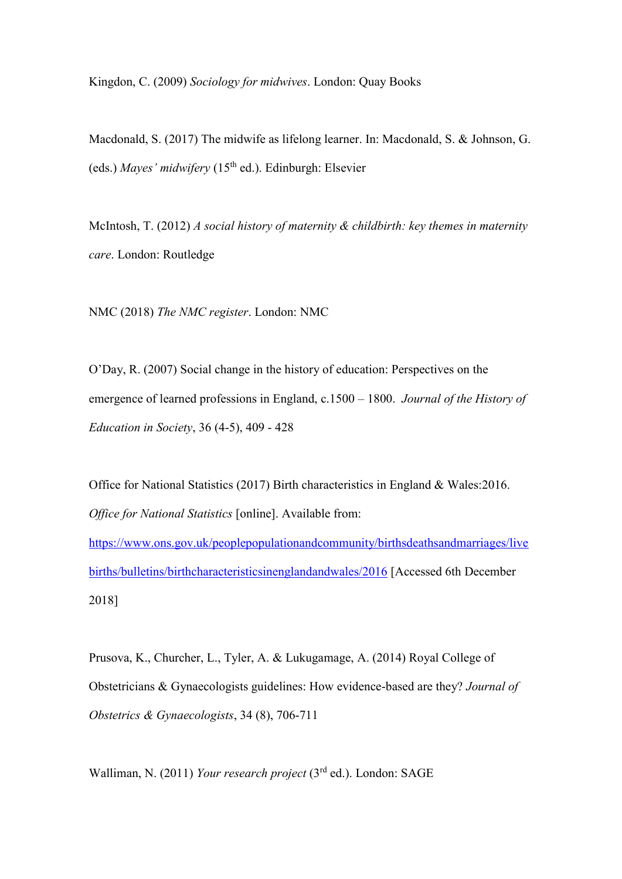Kingdon, C. (2009) *Sociology for midwives*. London: Quay Books

Macdonald, S. (2017) The midwife as lifelong learner. In: Macdonald, S. & Johnson, G. (eds.) *Mayes' midwifery* (15th ed.). Edinburgh: Elsevier

McIntosh, T. (2012) *A social history of maternity & childbirth: key themes in maternity care*. London: Routledge

NMC (2018) *The NMC register*. London: NMC

O'Day, R. (2007) Social change in the history of education: Perspectives on the emergence of learned professions in England, c.1500 – 1800. *Journal of the History of Education in Society*, 36 (4-5), 409 - 428

Office for National Statistics (2017) Birth characteristics in England & Wales:2016. *Office for National Statistics* [online]. Available from:

[https://www.ons.gov.uk/peoplepopulationandcommunity/birthsdeathsandmarriages/live](https://www.ons.gov.uk/peoplepopulationandcommunity/birthsdeathsandmarriages/livebirths/bulletins/birthcharacteristicsinenglandandwales/2016) [births/bulletins/birthcharacteristicsinenglandandwales/2016](https://www.ons.gov.uk/peoplepopulationandcommunity/birthsdeathsandmarriages/livebirths/bulletins/birthcharacteristicsinenglandandwales/2016) [Accessed 6th December 2018]

Prusova, K., Churcher, L., Tyler, A. & Lukugamage, A. (2014) Royal College of Obstetricians & Gynaecologists guidelines: How evidence-based are they? *Journal of Obstetrics & Gynaecologists*, 34 (8), 706-711

Walliman, N. (2011) *Your research project* (3 rd ed.). London: SAGE